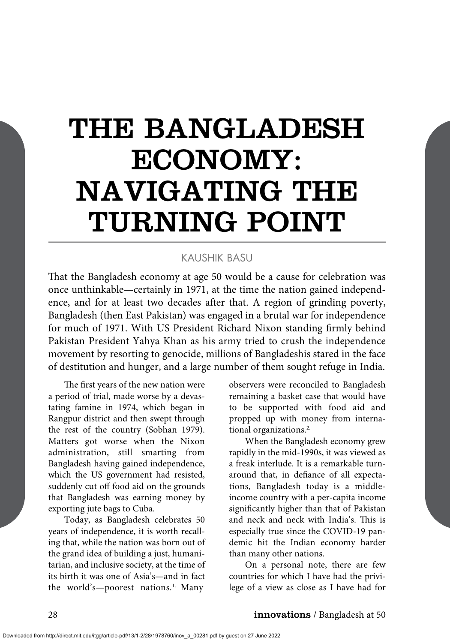# THE BANGLADESH ECONOMY: NAVIGATING THE TURNING POINT

#### KAUSHIK BASU

That the Bangladesh economy at age 50 would be a cause for celebration was once unthinkable—certainly in 1971, at the time the nation gained independence, and for at least two decades after that. A region of grinding poverty, Bangladesh (then East Pakistan) was engaged in a brutal war for independence for much of 1971. With US President Richard Nixon standing firmly behind Pakistan President Yahya Khan as his army tried to crush the independence movement by resorting to genocide, millions of Bangladeshis stared in the face of destitution and hunger, and a large number of them sought refuge in India.

The first years of the new nation were a period of trial, made worse by a devastating famine in 1974, which began in Rangpur district and then swept through the rest of the country (Sobhan 1979). Matters got worse when the Nixon administration, still smarting from Bangladesh having gained independence, which the US government had resisted, suddenly cut off food aid on the grounds that Bangladesh was earning money by exporting jute bags to Cuba.

Today, as Bangladesh celebrates 50 years of independence, it is worth recalling that, while the nation was born out of the grand idea of building a just, humanitarian, and inclusive society, at the time of its birth it was one of Asia's—and in fact the world's—poorest nations.<sup>1.</sup> Many

observers were reconciled to Bangladesh remaining a basket case that would have to be supported with food aid and propped up with money from international organizations.<sup>2.</sup>

When the Bangladesh economy grew rapidly in the mid-1990s, it was viewed as a freak interlude. It is a remarkable turnaround that, in defiance of all expectations, Bangladesh today is a middleincome country with a per-capita income significantly higher than that of Pakistan and neck and neck with India's. This is especially true since the COVID-19 pandemic hit the Indian economy harder than many other nations.

On a personal note, there are few countries for which I have had the privilege of a view as close as I have had for

#### 28 **innovations** / Bangladesh at 50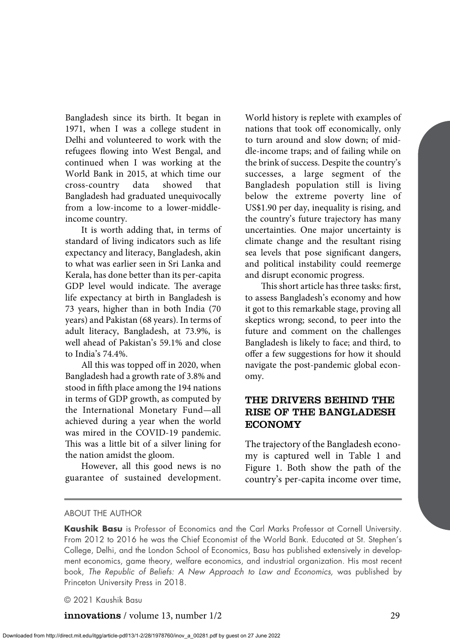Bangladesh since its birth. It began in 1971, when I was a college student in Delhi and volunteered to work with the refugees flowing into West Bengal, and continued when I was working at the World Bank in 2015, at which time our cross-country data showed that Bangladesh had graduated unequivocally from a low-income to a lower-middleincome country.

It is worth adding that, in terms of standard of living indicators such as life expectancy and literacy, Bangladesh, akin to what was earlier seen in Sri Lanka and Kerala, has done better than its per-capita GDP level would indicate. The average life expectancy at birth in Bangladesh is 73 years, higher than in both India (70 years) and Pakistan (68 years). In terms of adult literacy, Bangladesh, at 73.9%, is well ahead of Pakistan's 59.1% and close to India's 74.4%.

All this was topped off in 2020, when Bangladesh had a growth rate of 3.8% and stood in fifth place among the 194 nations in terms of GDP growth, as computed by the International Monetary Fund—all achieved during a year when the world was mired in the COVID-19 pandemic. This was a little bit of a silver lining for the nation amidst the gloom.

However, all this good news is no guarantee of sustained development. World history is replete with examples of nations that took off economically, only to turn around and slow down; of middle-income traps; and of failing while on the brink of success. Despite the country's successes, a large segment of the Bangladesh population still is living below the extreme poverty line of US\$1.90 per day, inequality is rising, and the country's future trajectory has many uncertainties. One major uncertainty is climate change and the resultant rising sea levels that pose significant dangers, and political instability could reemerge and disrupt economic progress.

This short article has three tasks: first, to assess Bangladesh's economy and how it got to this remarkable stage, proving all skeptics wrong; second, to peer into the future and comment on the challenges Bangladesh is likely to face; and third, to offer a few suggestions for how it should navigate the post-pandemic global economy.

### THE DRIVERS BEHIND THE RISE OF THE BANGLADESH ECONOMY

The trajectory of the Bangladesh economy is captured well in Table 1 and Figure 1. Both show the path of the country's per-capita income over time,

#### ABOUT THE AUTHOR

**Kaushik Basu** is Professor of Economics and the Carl Marks Professor at Cornell University. From 2012 to 2016 he was the Chief Economist of the World Bank. Educated at St. Stephen's College, Delhi, and the London School of Economics, Basu has published extensively in development economics, game theory, welfare economics, and industrial organization. His most recent book, *The Republic of Beliefs: A New Approach to Law and Economics,* was published by Princeton University Press in 2018.

© 2021 Kaushik Basu

innovations / volume 13, number 1/2 29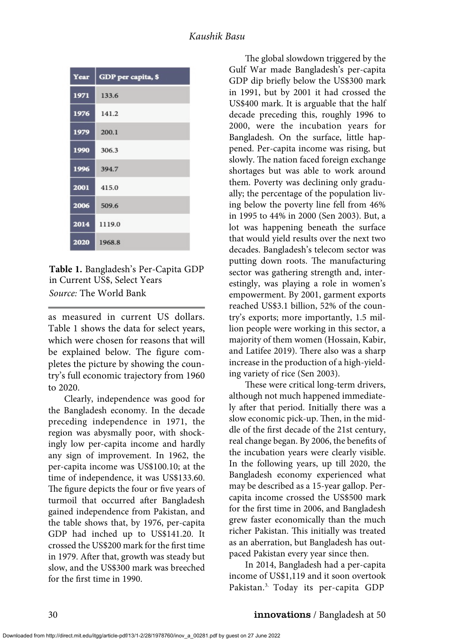| Year | GDP per capita, \$ |
|------|--------------------|
| 1971 | 133.6              |
| 1976 | 141.2              |
| 1979 | 200.1              |
| 1990 | 306.3              |
| 1996 | 394.7              |
| 2001 | 415.0              |
| 2006 | 509.6              |
| 2014 | 1119.0             |
| 2020 | 1968.8             |

**Table 1.** Bangladesh's Per-Capita GDP in Current US\$, Select Years *Source:* The World Bank

as measured in current US dollars. Table 1 shows the data for select years, which were chosen for reasons that will be explained below. The figure completes the picture by showing the country's full economic trajectory from 1960 to 2020.

Clearly, independence was good for the Bangladesh economy. In the decade preceding independence in 1971, the region was abysmally poor, with shockingly low per-capita income and hardly any sign of improvement. In 1962, the per-capita income was US\$100.10; at the time of independence, it was US\$133.60. The figure depicts the four or five years of turmoil that occurred after Bangladesh gained independence from Pakistan, and the table shows that, by 1976, per-capita GDP had inched up to US\$141.20. It crossed the US\$200 mark for the first time in 1979. After that, growth was steady but slow, and the US\$300 mark was breeched for the first time in 1990.

The global slowdown triggered by the Gulf War made Bangladesh's per-capita GDP dip briefly below the US\$300 mark in 1991, but by 2001 it had crossed the US\$400 mark. It is arguable that the half decade preceding this, roughly 1996 to 2000, were the incubation years for Bangladesh. On the surface, little happened. Per-capita income was rising, but slowly. The nation faced foreign exchange shortages but was able to work around them. Poverty was declining only gradually; the percentage of the population living below the poverty line fell from 46% in 1995 to 44% in 2000 (Sen 2003). But, a lot was happening beneath the surface that would yield results over the next two decades. Bangladesh's telecom sector was putting down roots. The manufacturing sector was gathering strength and, interestingly, was playing a role in women's empowerment. By 2001, garment exports reached US\$3.1 billion, 52% of the country's exports; more importantly, 1.5 million people were working in this sector, a majority of them women (Hossain, Kabir, and Latifee 2019). There also was a sharp increase in the production of a high-yielding variety of rice (Sen 2003).

These were critical long-term drivers, although not much happened immediately after that period. Initially there was a slow economic pick-up. Then, in the middle of the first decade of the 21st century, real change began. By 2006, the benefits of the incubation years were clearly visible. In the following years, up till 2020, the Bangladesh economy experienced what may be described as a 15-year gallop. Percapita income crossed the US\$500 mark for the first time in 2006, and Bangladesh grew faster economically than the much richer Pakistan. This initially was treated as an aberration, but Bangladesh has outpaced Pakistan every year since then.

In 2014, Bangladesh had a per-capita income of US\$1,119 and it soon overtook Pakistan.3. Today its per-capita GDP

#### 30 **innovations** / Bangladesh at 50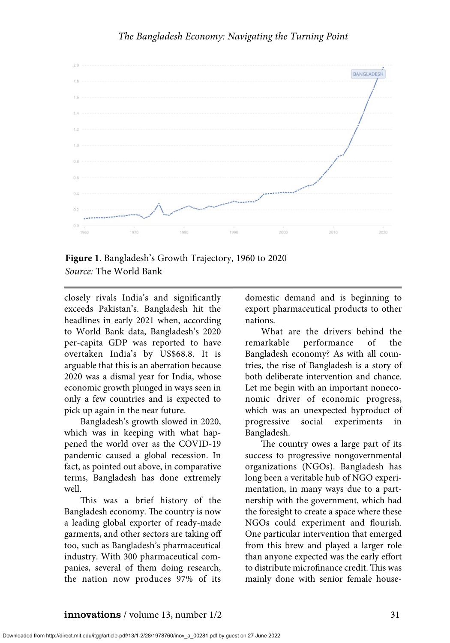

**Figure 1**. Bangladesh's Growth Trajectory, 1960 to 2020 *Source:* The World Bank

closely rivals India's and significantly exceeds Pakistan's. Bangladesh hit the headlines in early 2021 when, according to World Bank data, Bangladesh's 2020 per-capita GDP was reported to have overtaken India's by US\$68.8. It is arguable that this is an aberration because 2020 was a dismal year for India, whose economic growth plunged in ways seen in only a few countries and is expected to pick up again in the near future.

Bangladesh's growth slowed in 2020, which was in keeping with what happened the world over as the COVID-19 pandemic caused a global recession. In fact, as pointed out above, in comparative terms, Bangladesh has done extremely well.

This was a brief history of the Bangladesh economy. The country is now a leading global exporter of ready-made garments, and other sectors are taking off too, such as Bangladesh's pharmaceutical industry. With 300 pharmaceutical companies, several of them doing research, the nation now produces 97% of its

domestic demand and is beginning to export pharmaceutical products to other nations.

What are the drivers behind the remarkable performance of the Bangladesh economy? As with all countries, the rise of Bangladesh is a story of both deliberate intervention and chance. Let me begin with an important noneconomic driver of economic progress, which was an unexpected byproduct of progressive social experiments in Bangladesh.

The country owes a large part of its success to progressive nongovernmental organizations (NGOs). Bangladesh has long been a veritable hub of NGO experimentation, in many ways due to a partnership with the government, which had the foresight to create a space where these NGOs could experiment and flourish. One particular intervention that emerged from this brew and played a larger role than anyone expected was the early effort to distribute microfinance credit. This was mainly done with senior female house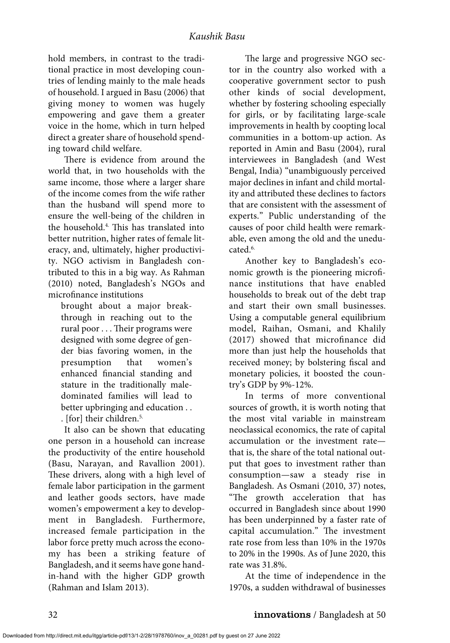hold members, in contrast to the traditional practice in most developing countries of lending mainly to the male heads of household. I argued in Basu (2006) that giving money to women was hugely empowering and gave them a greater voice in the home, which in turn helped direct a greater share of household spending toward child welfare.

There is evidence from around the world that, in two households with the same income, those where a larger share of the income comes from the wife rather than the husband will spend more to ensure the well-being of the children in the household.4. This has translated into better nutrition, higher rates of female literacy, and, ultimately, higher productivity. NGO activism in Bangladesh contributed to this in a big way. As Rahman (2010) noted, Bangladesh's NGOs and microfinance institutions

brought about a major breakthrough in reaching out to the rural poor . . . Their programs were designed with some degree of gender bias favoring women, in the presumption that women's enhanced financial standing and stature in the traditionally maledominated families will lead to better upbringing and education . .

. [for] their children.5.

It also can be shown that educating one person in a household can increase the productivity of the entire household (Basu, Narayan, and Ravallion 2001). These drivers, along with a high level of female labor participation in the garment and leather goods sectors, have made women's empowerment a key to development in Bangladesh. Furthermore, increased female participation in the labor force pretty much across the economy has been a striking feature of Bangladesh, and it seems have gone handin-hand with the higher GDP growth (Rahman and Islam 2013).

The large and progressive NGO sector in the country also worked with a cooperative government sector to push other kinds of social development, whether by fostering schooling especially for girls, or by facilitating large-scale improvements in health by coopting local communities in a bottom-up action. As reported in Amin and Basu (2004), rural interviewees in Bangladesh (and West Bengal, India) "unambiguously perceived major declines in infant and child mortality and attributed these declines to factors that are consistent with the assessment of experts." Public understanding of the causes of poor child health were remarkable, even among the old and the uneducated.<sup>6.</sup>

Another key to Bangladesh's economic growth is the pioneering microfinance institutions that have enabled households to break out of the debt trap and start their own small businesses. Using a computable general equilibrium model, Raihan, Osmani, and Khalily (2017) showed that microfinance did more than just help the households that received money; by bolstering fiscal and monetary policies, it boosted the country's GDP by 9%-12%.

In terms of more conventional sources of growth, it is worth noting that the most vital variable in mainstream neoclassical economics, the rate of capital accumulation or the investment rate that is, the share of the total national output that goes to investment rather than consumption—saw a steady rise in Bangladesh. As Osmani (2010, 37) notes, "The growth acceleration that has occurred in Bangladesh since about 1990 has been underpinned by a faster rate of capital accumulation." The investment rate rose from less than 10% in the 1970s to 20% in the 1990s. As of June 2020, this rate was 31.8%.

At the time of independence in the 1970s, a sudden withdrawal of businesses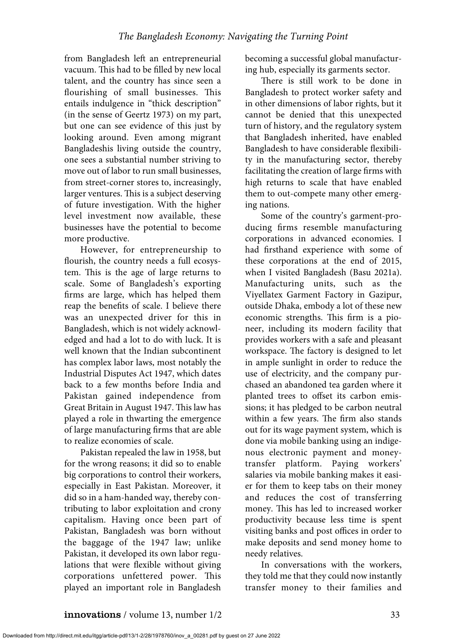from Bangladesh left an entrepreneurial vacuum. This had to be filled by new local talent, and the country has since seen a flourishing of small businesses. This entails indulgence in "thick description" (in the sense of Geertz 1973) on my part, but one can see evidence of this just by looking around. Even among migrant Bangladeshis living outside the country, one sees a substantial number striving to move out of labor to run small businesses, from street-corner stores to, increasingly, larger ventures. This is a subject deserving of future investigation. With the higher level investment now available, these businesses have the potential to become more productive.

However, for entrepreneurship to flourish, the country needs a full ecosystem. This is the age of large returns to scale. Some of Bangladesh's exporting firms are large, which has helped them reap the benefits of scale. I believe there was an unexpected driver for this in Bangladesh, which is not widely acknowledged and had a lot to do with luck. It is well known that the Indian subcontinent has complex labor laws, most notably the Industrial Disputes Act 1947, which dates back to a few months before India and Pakistan gained independence from Great Britain in August 1947. This law has played a role in thwarting the emergence of large manufacturing firms that are able to realize economies of scale.

Pakistan repealed the law in 1958, but for the wrong reasons; it did so to enable big corporations to control their workers, especially in East Pakistan. Moreover, it did so in a ham-handed way, thereby contributing to labor exploitation and crony capitalism. Having once been part of Pakistan, Bangladesh was born without the baggage of the 1947 law; unlike Pakistan, it developed its own labor regulations that were flexible without giving corporations unfettered power. This played an important role in Bangladesh becoming a successful global manufacturing hub, especially its garments sector.

There is still work to be done in Bangladesh to protect worker safety and in other dimensions of labor rights, but it cannot be denied that this unexpected turn of history, and the regulatory system that Bangladesh inherited, have enabled Bangladesh to have considerable flexibility in the manufacturing sector, thereby facilitating the creation of large firms with high returns to scale that have enabled them to out-compete many other emerging nations.

Some of the country's garment-producing firms resemble manufacturing corporations in advanced economies. I had firsthand experience with some of these corporations at the end of 2015, when I visited Bangladesh (Basu 2021a). Manufacturing units, such as the Viyellatex Garment Factory in Gazipur, outside Dhaka, embody a lot of these new economic strengths. This firm is a pioneer, including its modern facility that provides workers with a safe and pleasant workspace. The factory is designed to let in ample sunlight in order to reduce the use of electricity, and the company purchased an abandoned tea garden where it planted trees to offset its carbon emissions; it has pledged to be carbon neutral within a few years. The firm also stands out for its wage payment system, which is done via mobile banking using an indigenous electronic payment and moneytransfer platform. Paying workers' salaries via mobile banking makes it easier for them to keep tabs on their money and reduces the cost of transferring money. This has led to increased worker productivity because less time is spent visiting banks and post offices in order to make deposits and send money home to needy relatives.

In conversations with the workers, they told me that they could now instantly transfer money to their families and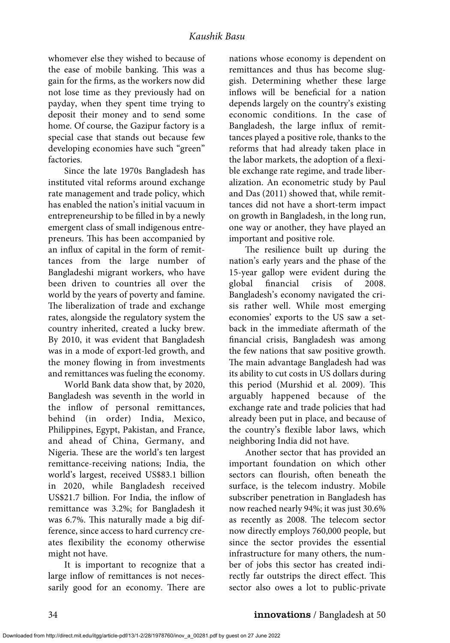whomever else they wished to because of the ease of mobile banking. This was a gain for the firms, as the workers now did not lose time as they previously had on payday, when they spent time trying to deposit their money and to send some home. Of course, the Gazipur factory is a special case that stands out because few developing economies have such "green" factories.

Since the late 1970s Bangladesh has instituted vital reforms around exchange rate management and trade policy, which has enabled the nation's initial vacuum in entrepreneurship to be filled in by a newly emergent class of small indigenous entrepreneurs. This has been accompanied by an influx of capital in the form of remittances from the large number of Bangladeshi migrant workers, who have been driven to countries all over the world by the years of poverty and famine. The liberalization of trade and exchange rates, alongside the regulatory system the country inherited, created a lucky brew. By 2010, it was evident that Bangladesh was in a mode of export-led growth, and the money flowing in from investments and remittances was fueling the economy.

World Bank data show that, by 2020, Bangladesh was seventh in the world in the inflow of personal remittances, behind (in order) India, Mexico, Philippines, Egypt, Pakistan, and France, and ahead of China, Germany, and Nigeria. These are the world's ten largest remittance-receiving nations; India, the world's largest, received US\$83.1 billion in 2020, while Bangladesh received US\$21.7 billion. For India, the inflow of remittance was 3.2%; for Bangladesh it was 6.7%. This naturally made a big difference, since access to hard currency creates flexibility the economy otherwise might not have.

It is important to recognize that a large inflow of remittances is not necessarily good for an economy. There are

nations whose economy is dependent on remittances and thus has become sluggish. Determining whether these large inflows will be beneficial for a nation depends largely on the country's existing economic conditions. In the case of Bangladesh, the large influx of remittances played a positive role, thanks to the reforms that had already taken place in the labor markets, the adoption of a flexible exchange rate regime, and trade liberalization. An econometric study by Paul and Das (2011) showed that, while remittances did not have a short-term impact on growth in Bangladesh, in the long run, one way or another, they have played an important and positive role.

The resilience built up during the nation's early years and the phase of the 15-year gallop were evident during the global financial crisis of 2008. Bangladesh's economy navigated the crisis rather well. While most emerging economies' exports to the US saw a setback in the immediate aftermath of the financial crisis, Bangladesh was among the few nations that saw positive growth. The main advantage Bangladesh had was its ability to cut costs in US dollars during this period (Murshid et al. 2009). This arguably happened because of the exchange rate and trade policies that had already been put in place, and because of the country's flexible labor laws, which neighboring India did not have.

Another sector that has provided an important foundation on which other sectors can flourish, often beneath the surface, is the telecom industry. Mobile subscriber penetration in Bangladesh has now reached nearly 94%; it was just 30.6% as recently as 2008. The telecom sector now directly employs 760,000 people, but since the sector provides the essential infrastructure for many others, the number of jobs this sector has created indirectly far outstrips the direct effect. This sector also owes a lot to public-private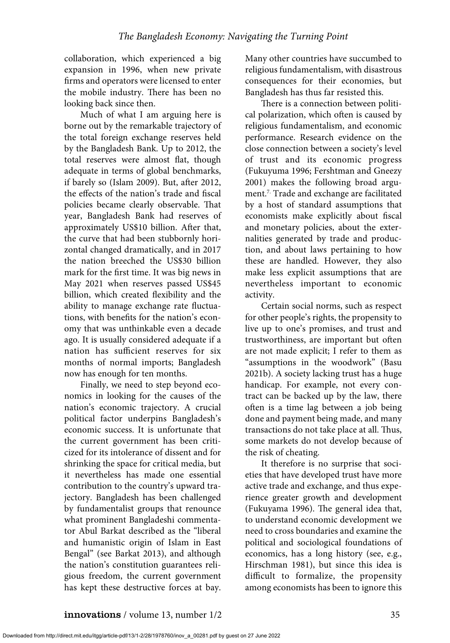collaboration, which experienced a big expansion in 1996, when new private firms and operators were licensed to enter the mobile industry. There has been no looking back since then.

Much of what I am arguing here is borne out by the remarkable trajectory of the total foreign exchange reserves held by the Bangladesh Bank. Up to 2012, the total reserves were almost flat, though adequate in terms of global benchmarks, if barely so (Islam 2009). But, after 2012, the effects of the nation's trade and fiscal policies became clearly observable. That year, Bangladesh Bank had reserves of approximately US\$10 billion. After that, the curve that had been stubbornly horizontal changed dramatically, and in 2017 the nation breeched the US\$30 billion mark for the first time. It was big news in May 2021 when reserves passed US\$45 billion, which created flexibility and the ability to manage exchange rate fluctuations, with benefits for the nation's economy that was unthinkable even a decade ago. It is usually considered adequate if a nation has sufficient reserves for six months of normal imports; Bangladesh now has enough for ten months.

Finally, we need to step beyond economics in looking for the causes of the nation's economic trajectory. A crucial political factor underpins Bangladesh's economic success. It is unfortunate that the current government has been criticized for its intolerance of dissent and for shrinking the space for critical media, but it nevertheless has made one essential contribution to the country's upward trajectory. Bangladesh has been challenged by fundamentalist groups that renounce what prominent Bangladeshi commentator Abul Barkat described as the "liberal and humanistic origin of Islam in East Bengal" (see Barkat 2013), and although the nation's constitution guarantees religious freedom, the current government has kept these destructive forces at bay. Many other countries have succumbed to religious fundamentalism, with disastrous consequences for their economies, but Bangladesh has thus far resisted this.

There is a connection between political polarization, which often is caused by religious fundamentalism, and economic performance. Research evidence on the close connection between a society's level of trust and its economic progress (Fukuyuma 1996; Fershtman and Gneezy 2001) makes the following broad argument.7. Trade and exchange are facilitated by a host of standard assumptions that economists make explicitly about fiscal and monetary policies, about the externalities generated by trade and production, and about laws pertaining to how these are handled. However, they also make less explicit assumptions that are nevertheless important to economic activity.

Certain social norms, such as respect for other people's rights, the propensity to live up to one's promises, and trust and trustworthiness, are important but often are not made explicit; I refer to them as "assumptions in the woodwork" (Basu 2021b). A society lacking trust has a huge handicap. For example, not every contract can be backed up by the law, there often is a time lag between a job being done and payment being made, and many transactions do not take place at all. Thus, some markets do not develop because of the risk of cheating.

It therefore is no surprise that societies that have developed trust have more active trade and exchange, and thus experience greater growth and development (Fukuyama 1996). The general idea that, to understand economic development we need to cross boundaries and examine the political and sociological foundations of economics, has a long history (see, e.g., Hirschman 1981), but since this idea is difficult to formalize, the propensity among economists has been to ignore this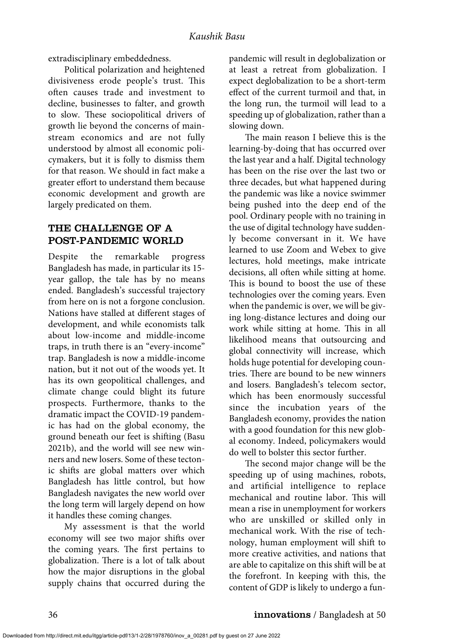extradisciplinary embeddedness.

Political polarization and heightened divisiveness erode people's trust. This often causes trade and investment to decline, businesses to falter, and growth to slow. These sociopolitical drivers of growth lie beyond the concerns of mainstream economics and are not fully understood by almost all economic policymakers, but it is folly to dismiss them for that reason. We should in fact make a greater effort to understand them because economic development and growth are largely predicated on them.

## THE CHALLENGE OF A POST-PANDEMIC WORLD

Despite the remarkable progress Bangladesh has made, in particular its 15 year gallop, the tale has by no means ended. Bangladesh's successful trajectory from here on is not a forgone conclusion. Nations have stalled at different stages of development, and while economists talk about low-income and middle-income traps, in truth there is an "every-income" trap. Bangladesh is now a middle-income nation, but it not out of the woods yet. It has its own geopolitical challenges, and climate change could blight its future prospects. Furthermore, thanks to the dramatic impact the COVID-19 pandemic has had on the global economy, the ground beneath our feet is shifting (Basu 2021b), and the world will see new winners and new losers. Some of these tectonic shifts are global matters over which Bangladesh has little control, but how Bangladesh navigates the new world over the long term will largely depend on how it handles these coming changes.

My assessment is that the world economy will see two major shifts over the coming years. The first pertains to globalization. There is a lot of talk about how the major disruptions in the global supply chains that occurred during the

pandemic will result in deglobalization or at least a retreat from globalization. I expect deglobalization to be a short-term effect of the current turmoil and that, in the long run, the turmoil will lead to a speeding up of globalization, rather than a slowing down.

The main reason I believe this is the learning-by-doing that has occurred over the last year and a half. Digital technology has been on the rise over the last two or three decades, but what happened during the pandemic was like a novice swimmer being pushed into the deep end of the pool. Ordinary people with no training in the use of digital technology have suddenly become conversant in it. We have learned to use Zoom and Webex to give lectures, hold meetings, make intricate decisions, all often while sitting at home. This is bound to boost the use of these technologies over the coming years. Even when the pandemic is over, we will be giving long-distance lectures and doing our work while sitting at home. This in all likelihood means that outsourcing and global connectivity will increase, which holds huge potential for developing countries. There are bound to be new winners and losers. Bangladesh's telecom sector, which has been enormously successful since the incubation years of the Bangladesh economy, provides the nation with a good foundation for this new global economy. Indeed, policymakers would do well to bolster this sector further.

The second major change will be the speeding up of using machines, robots, and artificial intelligence to replace mechanical and routine labor. This will mean a rise in unemployment for workers who are unskilled or skilled only in mechanical work. With the rise of technology, human employment will shift to more creative activities, and nations that are able to capitalize on this shift will be at the forefront. In keeping with this, the content of GDP is likely to undergo a fun-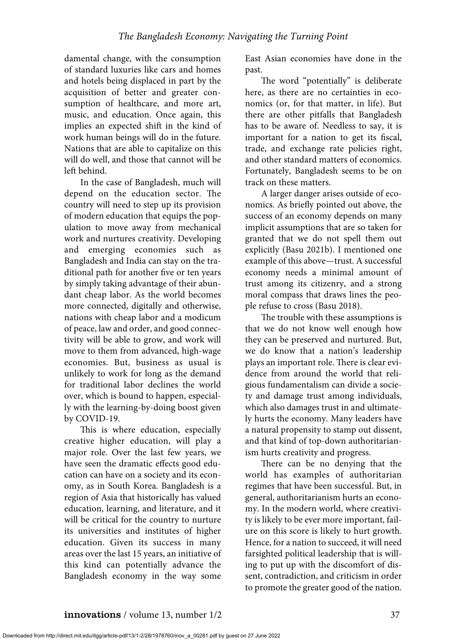damental change, with the consumption of standard luxuries like cars and homes and hotels being displaced in part by the acquisition of better and greater consumption of healthcare, and more art, music, and education. Once again, this implies an expected shift in the kind of work human beings will do in the future. Nations that are able to capitalize on this will do well, and those that cannot will be left behind.

In the case of Bangladesh, much will depend on the education sector. The country will need to step up its provision of modern education that equips the population to move away from mechanical work and nurtures creativity. Developing and emerging economies such as Bangladesh and India can stay on the traditional path for another five or ten years by simply taking advantage of their abundant cheap labor. As the world becomes more connected, digitally and otherwise, nations with cheap labor and a modicum of peace, law and order, and good connectivity will be able to grow, and work will move to them from advanced, high-wage economies. But, business as usual is unlikely to work for long as the demand for traditional labor declines the world over, which is bound to happen, especially with the learning-by-doing boost given by COVID-19.

This is where education, especially creative higher education, will play a major role. Over the last few years, we have seen the dramatic effects good education can have on a society and its economy, as in South Korea. Bangladesh is a region of Asia that historically has valued education, learning, and literature, and it will be critical for the country to nurture its universities and institutes of higher education. Given its success in many areas over the last 15 years, an initiative of this kind can potentially advance the Bangladesh economy in the way some East Asian economies have done in the past.

The word "potentially" is deliberate here, as there are no certainties in economics (or, for that matter, in life). But there are other pitfalls that Bangladesh has to be aware of. Needless to say, it is important for a nation to get its fiscal, trade, and exchange rate policies right, and other standard matters of economics. Fortunately, Bangladesh seems to be on track on these matters.

A larger danger arises outside of economics. As briefly pointed out above, the success of an economy depends on many implicit assumptions that are so taken for granted that we do not spell them out explicitly (Basu 2021b). I mentioned one example of this above—trust. A successful economy needs a minimal amount of trust among its citizenry, and a strong moral compass that draws lines the people refuse to cross (Basu 2018).

The trouble with these assumptions is that we do not know well enough how they can be preserved and nurtured. But, we do know that a nation's leadership plays an important role. There is clear evidence from around the world that religious fundamentalism can divide a society and damage trust among individuals, which also damages trust in and ultimately hurts the economy. Many leaders have a natural propensity to stamp out dissent, and that kind of top-down authoritarianism hurts creativity and progress.

There can be no denying that the world has examples of authoritarian regimes that have been successful. But, in general, authoritarianism hurts an economy. In the modern world, where creativity is likely to be ever more important, failure on this score is likely to hurt growth. Hence, for a nation to succeed, it will need farsighted political leadership that is willing to put up with the discomfort of dissent, contradiction, and criticism in order to promote the greater good of the nation.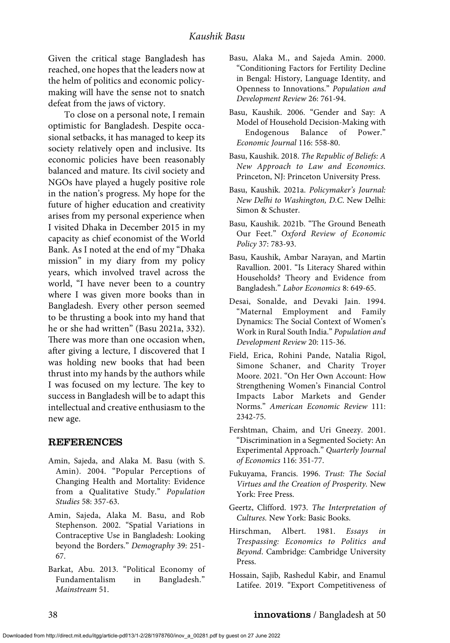Given the critical stage Bangladesh has reached, one hopes that the leaders now at the helm of politics and economic policymaking will have the sense not to snatch defeat from the jaws of victory.

To close on a personal note, I remain optimistic for Bangladesh. Despite occasional setbacks, it has managed to keep its society relatively open and inclusive. Its economic policies have been reasonably balanced and mature. Its civil society and NGOs have played a hugely positive role in the nation's progress. My hope for the future of higher education and creativity arises from my personal experience when I visited Dhaka in December 2015 in my capacity as chief economist of the World Bank. As I noted at the end of my "Dhaka mission" in my diary from my policy years, which involved travel across the world, "I have never been to a country where I was given more books than in Bangladesh. Every other person seemed to be thrusting a book into my hand that he or she had written" (Basu 2021a, 332). There was more than one occasion when, after giving a lecture, I discovered that I was holding new books that had been thrust into my hands by the authors while I was focused on my lecture. The key to success in Bangladesh will be to adapt this intellectual and creative enthusiasm to the new age.

#### REFERENCES

- Amin, Sajeda, and Alaka M. Basu (with S. Amin). 2004. "Popular Perceptions of Changing Health and Mortality: Evidence from a Qualitative Study." *Population Studies* 58: 357-63.
- Amin, Sajeda, Alaka M. Basu, and Rob Stephenson. 2002. "Spatial Variations in Contraceptive Use in Bangladesh: Looking beyond the Borders." *Demography* 39: 251- 67.
- Barkat, Abu. 2013. "Political Economy of Fundamentalism in Bangladesh." *Mainstream* 51.
- Basu, Alaka M., and Sajeda Amin. 2000. "Conditioning Factors for Fertility Decline in Bengal: History, Language Identity, and Openness to Innovations." *Population and Development Review* 26: 761-94.
- Basu, Kaushik. 2006. "Gender and Say: A Model of Household Decision-Making with Endogenous Balance of Power." *Economic Journal* 116: 558-80.
- Basu, Kaushik. 2018. *The Republic of Beliefs: A New Approach to Law and Economics.* Princeton, NJ: Princeton University Press.
- Basu, Kaushik. 2021a. *Policymaker's Journal: New Delhi to Washington, D.C*. New Delhi: Simon & Schuster.
- Basu, Kaushik. 2021b. "The Ground Beneath Our Feet." *Oxford Review of Economic Policy* 37: 783-93.
- Basu, Kaushik, Ambar Narayan, and Martin Ravallion. 2001. "Is Literacy Shared within Households? Theory and Evidence from Bangladesh." *Labor Economics* 8: 649-65.
- Desai, Sonalde, and Devaki Jain. 1994. "Maternal Employment and Family Dynamics: The Social Context of Women's Work in Rural South India." *Population and Development Review* 20: 115-36.
- Field, Erica, Rohini Pande, Natalia Rigol, Simone Schaner, and Charity Troyer Moore. 2021. "On Her Own Account: How Strengthening Women's Financial Control Impacts Labor Markets and Gender Norms." *American Economic Review* 111: 2342-75.
- Fershtman, Chaim, and Uri Gneezy. 2001. "Discrimination in a Segmented Society: An Experimental Approach." *Quarterly Journal of Economics* 116: 351-77.
- Fukuyama, Francis. 1996. *Trust: The Social Virtues and the Creation of Prosperity.* New York: Free Press.
- Geertz, Clifford. 1973. *The Interpretation of Cultures.* New York: Basic Books.
- Hirschman, Albert. 1981. *Essays in Trespassing: Economics to Politics and Beyond*. Cambridge: Cambridge University Press.
- Hossain, Sajib, Rashedul Kabir, and Enamul Latifee. 2019. "Export Competitiveness of

#### 38 innovations / Bangladesh at 50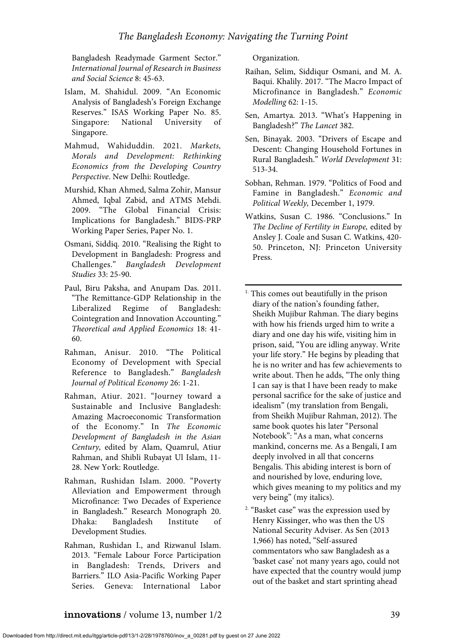Bangladesh Readymade Garment Sector." *International Journal of Research in Business and Social Science* 8: 45-63.

- Islam, M. Shahidul. 2009. "An Economic Analysis of Bangladesh's Foreign Exchange Reserves." ISAS Working Paper No. 85. Singapore: National University of Singapore.
- Mahmud, Wahiduddin. 2021. *Markets, Morals and Development: Rethinking Economics from the Developing Country Perspective*. New Delhi: Routledge.
- Murshid, Khan Ahmed, Salma Zohir, Mansur Ahmed, Iqbal Zabid, and ATMS Mehdi. 2009. "The Global Financial Crisis: Implications for Bangladesh." BIDS-PRP Working Paper Series, Paper No. 1.
- Osmani, Siddiq. 2010. "Realising the Right to Development in Bangladesh: Progress and Challenges." *Bangladesh Development Studies* 33: 25-90.
- Paul, Biru Paksha, and Anupam Das. 2011. "The Remittance-GDP Relationship in the Liberalized Regime of Bangladesh: Cointegration and Innovation Accounting." *Theoretical and Applied Economics* 18: 41- 60.
- Rahman, Anisur. 2010. "The Political Economy of Development with Special Reference to Bangladesh." *Bangladesh Journal of Political Economy* 26: 1-21.
- Rahman, Atiur. 2021. "Journey toward a Sustainable and Inclusive Bangladesh: Amazing Macroeconomic Transformation of the Economy." In *The Economic Development of Bangladesh in the Asian Century,* edited by Alam, Quamrul, Atiur Rahman, and Shibli Rubayat Ul Islam, 11- 28. New York: Routledge.
- Rahman, Rushidan Islam. 2000. "Poverty Alleviation and Empowerment through Microfinance: Two Decades of Experience in Bangladesh." Research Monograph 20. Dhaka: Bangladesh Institute of Development Studies.
- Rahman, Rushidan I., and Rizwanul Islam. 2013. "Female Labour Force Participation in Bangladesh: Trends, Drivers and Barriers." ILO Asia-Pacific Working Paper Series. Geneva: International Labor

Organization.

- Raihan, Selim, Siddiqur Osmani, and M. A. Baqui. Khalily. 2017. "The Macro Impact of Microfinance in Bangladesh." *Economic Modelling* 62: 1-15.
- Sen, Amartya. 2013. "What's Happening in Bangladesh?" *The Lancet* 382.
- Sen, Binayak. 2003. "Drivers of Escape and Descent: Changing Household Fortunes in Rural Bangladesh." *World Development* 31: 513-34.
- Sobhan, Rehman. 1979. "Politics of Food and Famine in Bangladesh." *Economic and Political Weekly,* December 1, 1979.
- Watkins, Susan C. 1986. "Conclusions." In *The Decline of Fertility in Europe,* edited by Ansley J. Coale and Susan C. Watkins, 420- 50. Princeton, NJ: Princeton University Press.
- <sup>1.</sup> This comes out beautifully in the prison diary of the nation's founding father, Sheikh Mujibur Rahman. The diary begins with how his friends urged him to write a diary and one day his wife, visiting him in prison, said, "You are idling anyway. Write your life story." He begins by pleading that he is no writer and has few achievements to write about. Then he adds, "The only thing I can say is that I have been ready to make personal sacrifice for the sake of justice and idealism" (my translation from Bengali, from Sheikh Mujibur Rahman, 2012). The same book quotes his later "Personal Notebook": "As a man, what concerns mankind, concerns me. As a Bengali, I am deeply involved in all that concerns Bengalis. This abiding interest is born of and nourished by love, enduring love, which gives meaning to my politics and my very being" (my italics).
- 2. "Basket case" was the expression used by Henry Kissinger, who was then the US National Security Adviser. As Sen (2013 1,966) has noted, "Self-assured commentators who saw Bangladesh as a 'basket case' not many years ago, could not have expected that the country would jump out of the basket and start sprinting ahead